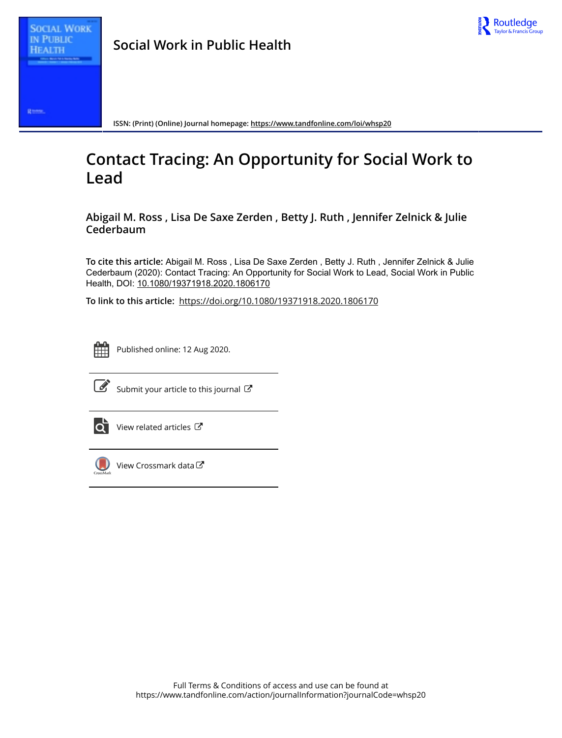

Roman

**ISSN: (Print) (Online) Journal homepage:<https://www.tandfonline.com/loi/whsp20>**

# **Contact Tracing: An Opportunity for Social Work to Lead**

**Abigail M. Ross , Lisa De Saxe Zerden , Betty J. Ruth , Jennifer Zelnick & Julie Cederbaum**

**To cite this article:** Abigail M. Ross , Lisa De Saxe Zerden , Betty J. Ruth , Jennifer Zelnick & Julie Cederbaum (2020): Contact Tracing: An Opportunity for Social Work to Lead, Social Work in Public Health, DOI: [10.1080/19371918.2020.1806170](https://www.tandfonline.com/action/showCitFormats?doi=10.1080/19371918.2020.1806170)

**To link to this article:** <https://doi.org/10.1080/19371918.2020.1806170>



Published online: 12 Aug 2020.



 $\overrightarrow{S}$  [Submit your article to this journal](https://www.tandfonline.com/action/authorSubmission?journalCode=whsp20&show=instructions)  $\overrightarrow{S}$ 



[View related articles](https://www.tandfonline.com/doi/mlt/10.1080/19371918.2020.1806170)  $\mathbb{Z}$ 



[View Crossmark data](http://crossmark.crossref.org/dialog/?doi=10.1080/19371918.2020.1806170&domain=pdf&date_stamp=2020-08-12)<sup>C</sup>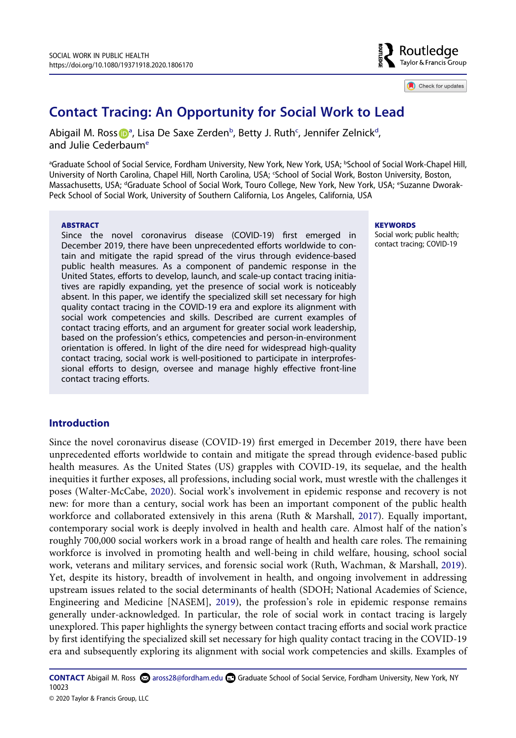

Check for updates

# **Contact Tracing: An Opportunity for Social Work to Lead**

Abig[a](#page-1-0)il M. Ross D<sup>a</sup>, Lisa De Saxe Zerden<sup>[b](#page-1-0)</sup>, Betty J. Ruth<sup>c</sup>, Jennifer Zelnick<sup>d</sup>, and Julie Cederbaum<sup>e</sup>

<span id="page-1-2"></span><span id="page-1-1"></span><span id="page-1-0"></span><sup>a</sup>Graduate School of Social Service, Fordham University, New York, New York, USA; <sup>b</sup>School of Social Work-Chapel Hill, University of North Carolina, Chapel Hill, North Carolina, USA; 'School of Social Work, Boston University, Boston, Massachusetts, USA; <sup>d</sup>Graduate School of Social Work, Touro College, New York, New York, USA; <sup>e</sup>Suzanne Dworak-Peck School of Social Work, University of Southern California, Los Angeles, California, USA

#### **ABSTRACT**

Since the novel coronavirus disease (COVID-19) first emerged in December 2019, there have been unprecedented efforts worldwide to contain and mitigate the rapid spread of the virus through evidence-based public health measures. As a component of pandemic response in the United States, efforts to develop, launch, and scale-up contact tracing initiatives are rapidly expanding, yet the presence of social work is noticeably absent. In this paper, we identify the specialized skill set necessary for high quality contact tracing in the COVID-19 era and explore its alignment with social work competencies and skills. Described are current examples of contact tracing efforts, and an argument for greater social work leadership, based on the profession's ethics, competencies and person-in-environment orientation is offered. In light of the dire need for widespread high-quality contact tracing, social work is well-positioned to participate in interprofessional efforts to design, oversee and manage highly effective front-line contact tracing efforts.

#### **KEYWORDS**

Social work; public health; contact tracing; COVID-19

### **Introduction**

<span id="page-1-6"></span><span id="page-1-5"></span><span id="page-1-4"></span><span id="page-1-3"></span>Since the novel coronavirus disease (COVID-19) first emerged in December 2019, there have been unprecedented efforts worldwide to contain and mitigate the spread through evidence-based public health measures. As the United States (US) grapples with COVID-19, its sequelae, and the health inequities it further exposes, all professions, including social work, must wrestle with the challenges it poses (Walter-McCabe, [2020](#page-13-0)). Social work's involvement in epidemic response and recovery is not new: for more than a century, social work has been an important component of the public health workforce and collaborated extensively in this arena (Ruth & Marshall, [2017](#page-12-0)). Equally important, contemporary social work is deeply involved in health and health care. Almost half of the nation's roughly 700,000 social workers work in a broad range of health and health care roles. The remaining workforce is involved in promoting health and well-being in child welfare, housing, school social work, veterans and military services, and forensic social work (Ruth, Wachman, & Marshall, [2019](#page-12-1)). Yet, despite its history, breadth of involvement in health, and ongoing involvement in addressing upstream issues related to the social determinants of health (SDOH; National Academies of Science, Engineering and Medicine [NASEM], [2019](#page-12-2)), the profession's role in epidemic response remains generally under-acknowledged. In particular, the role of social work in contact tracing is largely unexplored. This paper highlights the synergy between contact tracing efforts and social work practice by first identifying the specialized skill set necessary for high quality contact tracing in the COVID-19 era and subsequently exploring its alignment with social work competencies and skills. Examples of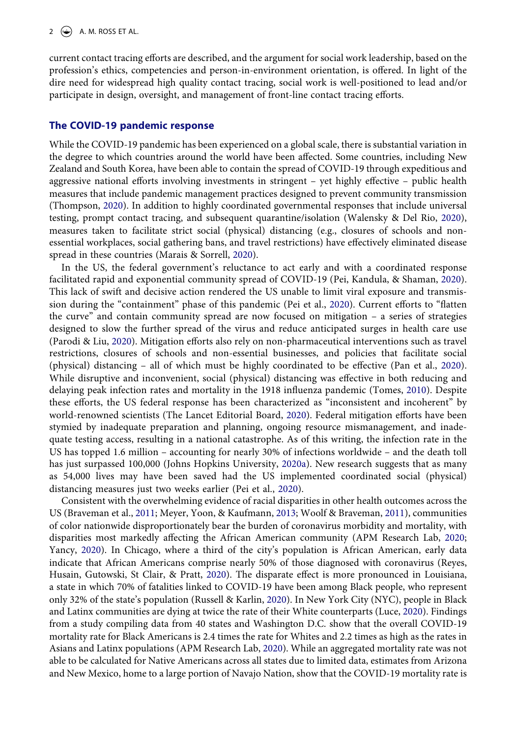current contact tracing efforts are described, and the argument for social work leadership, based on the profession's ethics, competencies and person-in-environment orientation, is offered. In light of the dire need for widespread high quality contact tracing, social work is well-positioned to lead and/or participate in design, oversight, and management of front-line contact tracing efforts.

#### **The COVID-19 pandemic response**

<span id="page-2-11"></span>While the COVID-19 pandemic has been experienced on a global scale, there is substantial variation in the degree to which countries around the world have been affected. Some countries, including New Zealand and South Korea, have been able to contain the spread of COVID-19 through expeditious and aggressive national efforts involving investments in stringent – yet highly effective – public health measures that include pandemic management practices designed to prevent community transmission (Thompson, [2020](#page-12-3)). In addition to highly coordinated governmental responses that include universal testing, prompt contact tracing, and subsequent quarantine/isolation (Walensky & Del Rio, [2020](#page-13-1)), measures taken to facilitate strict social (physical) distancing (e.g., closures of schools and nonessential workplaces, social gathering bans, and travel restrictions) have effectively eliminated disease spread in these countries (Marais & Sorrell, [2020\)](#page-12-4).

<span id="page-2-13"></span><span id="page-2-6"></span><span id="page-2-5"></span><span id="page-2-4"></span>In the US, the federal government's reluctance to act early and with a coordinated response facilitated rapid and exponential community spread of COVID-19 (Pei, Kandula, & Shaman, [2020](#page-12-5)). This lack of swift and decisive action rendered the US unable to limit viral exposure and transmission during the "containment" phase of this pandemic (Pei et al., [2020](#page-12-5)). Current efforts to "flatten the curve" and contain community spread are now focused on mitigation – a series of strategies designed to slow the further spread of the virus and reduce anticipated surges in health care use (Parodi & Liu, [2020](#page-12-6)). Mitigation efforts also rely on non-pharmaceutical interventions such as travel restrictions, closures of schools and non-essential businesses, and policies that facilitate social (physical) distancing – all of which must be highly coordinated to be effective (Pan et al., [2020](#page-12-7)). While disruptive and inconvenient, social (physical) distancing was effective in both reducing and delaying peak infection rates and mortality in the 1918 influenza pandemic (Tomes, [2010](#page-13-2)). Despite these efforts, the US federal response has been characterized as "inconsistent and incoherent" by world-renowned scientists (The Lancet Editorial Board, [2020](#page-12-8)). Federal mitigation efforts have been stymied by inadequate preparation and planning, ongoing resource mismanagement, and inadequate testing access, resulting in a national catastrophe. As of this writing, the infection rate in the US has topped 1.6 million – accounting for nearly 30% of infections worldwide – and the death toll has just surpassed 100,000 (Johns Hopkins University, [2020a\)](#page-11-0). New research suggests that as many as 54,000 lives may have been saved had the US implemented coordinated social (physical) distancing measures just two weeks earlier (Pei et al., [2020\)](#page-12-5).

<span id="page-2-14"></span><span id="page-2-12"></span><span id="page-2-10"></span><span id="page-2-9"></span><span id="page-2-8"></span><span id="page-2-7"></span><span id="page-2-3"></span><span id="page-2-2"></span><span id="page-2-1"></span><span id="page-2-0"></span>Consistent with the overwhelming evidence of racial disparities in other health outcomes across the US (Braveman et al., [2011;](#page-10-0) Meyer, Yoon, & Kaufmann, [2013;](#page-12-9) Woolf & Braveman, [2011](#page-13-3)), communities of color nationwide disproportionately bear the burden of coronavirus morbidity and mortality, with disparities most markedly affecting the African American community (APM Research Lab, [2020;](#page-10-1) Yancy, [2020\)](#page-13-4). In Chicago, where a third of the city's population is African American, early data indicate that African Americans comprise nearly 50% of those diagnosed with coronavirus (Reyes, Husain, Gutowski, St Clair, & Pratt, [2020\)](#page-12-10). The disparate effect is more pronounced in Louisiana, a state in which 70% of fatalities linked to COVID-19 have been among Black people, who represent only 32% of the state's population (Russell & Karlin, [2020\)](#page-12-11). In New York City (NYC), people in Black and Latinx communities are dying at twice the rate of their White counterparts (Luce, [2020\)](#page-12-12). Findings from a study compiling data from 40 states and Washington D.C. show that the overall COVID-19 mortality rate for Black Americans is 2.4 times the rate for Whites and 2.2 times as high as the rates in Asians and Latinx populations (APM Research Lab, [2020](#page-10-1)). While an aggregated mortality rate was not able to be calculated for Native Americans across all states due to limited data, estimates from Arizona and New Mexico, home to a large portion of Navajo Nation, show that the COVID-19 mortality rate is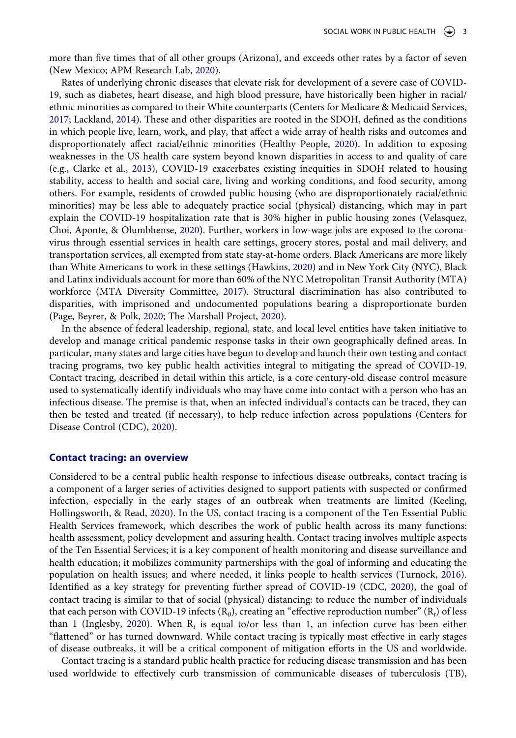more than five times that of all other groups (Arizona), and exceeds other rates by a factor of seven (New Mexico; APM Research Lab, [2020\)](#page-10-1).

<span id="page-3-7"></span><span id="page-3-4"></span><span id="page-3-2"></span><span id="page-3-1"></span>Rates of underlying chronic diseases that elevate risk for development of a severe case of COVID-19, such as diabetes, heart disease, and high blood pressure, have historically been higher in racial/ ethnic minorities as compared to their White counterparts (Centers for Medicare & Medicaid Services, [2017](#page-11-1); Lackland, [2014\)](#page-11-2). These and other disparities are rooted in the SDOH, defined as the conditions in which people live, learn, work, and play, that affect a wide array of health risks and outcomes and disproportionately affect racial/ethnic minorities (Healthy People, [2020](#page-11-3)). In addition to exposing weaknesses in the US health care system beyond known disparities in access to and quality of care (e.g., Clarke et al., [2013](#page-11-4)), COVID-19 exacerbates existing inequities in SDOH related to housing stability, access to health and social care, living and working conditions, and food security, among others. For example, residents of crowded public housing (who are disproportionately racial/ethnic minorities) may be less able to adequately practice social (physical) distancing, which may in part explain the COVID-19 hospitalization rate that is 30% higher in public housing zones (Velasquez, Choi, Aponte, & Olumbhense, [2020\)](#page-13-5). Further, workers in low-wage jobs are exposed to the coronavirus through essential services in health care settings, grocery stores, postal and mail delivery, and transportation services, all exempted from state stay-at-home orders. Black Americans are more likely than White Americans to work in these settings (Hawkins, [2020](#page-11-5)) and in New York City (NYC), Black and Latinx individuals account for more than 60% of the NYC Metropolitan Transit Authority (MTA) workforce (MTA Diversity Committee, [2017](#page-12-13)). Structural discrimination has also contributed to disparities, with imprisoned and undocumented populations bearing a disproportionate burden (Page, Beyrer, & Polk, [2020](#page-12-14); The Marshall Project, [2020](#page-12-15)).

<span id="page-3-11"></span><span id="page-3-9"></span><span id="page-3-8"></span><span id="page-3-3"></span>In the absence of federal leadership, regional, state, and local level entities have taken initiative to develop and manage critical pandemic response tasks in their own geographically defined areas. In particular, many states and large cities have begun to develop and launch their own testing and contact tracing programs, two key public health activities integral to mitigating the spread of COVID-19. Contact tracing, described in detail within this article, is a core century-old disease control measure used to systematically identify individuals who may have come into contact with a person who has an infectious disease. The premise is that, when an infected individual's contacts can be traced, they can then be tested and treated (if necessary), to help reduce infection across populations (Centers for Disease Control (CDC), [2020](#page-11-6)).

#### **Contact tracing: an overview**

<span id="page-3-6"></span>Considered to be a central public health response to infectious disease outbreaks, contact tracing is a component of a larger series of activities designed to support patients with suspected or confirmed infection, especially in the early stages of an outbreak when treatments are limited (Keeling, Hollingsworth, & Read, [2020\)](#page-11-7). In the US, contact tracing is a component of the Ten Essential Public Health Services framework, which describes the work of public health across its many functions: health assessment, policy development and assuring health. Contact tracing involves multiple aspects of the Ten Essential Services; it is a key component of health monitoring and disease surveillance and health education; it mobilizes community partnerships with the goal of informing and educating the population on health issues; and where needed, it links people to health services (Turnock, [2016](#page-13-6)). Identified as a key strategy for preventing further spread of COVID-19 (CDC, [2020\)](#page-11-6), the goal of contact tracing is similar to that of social (physical) distancing: to reduce the number of individuals that each person with COVID-19 infects (R*0*), creating an "effective reproduction number" (R*t*) of less than 1 (Inglesby, [2020](#page-11-8)). When  $R_t$  is equal to/or less than 1, an infection curve has been either "flattened" or has turned downward. While contact tracing is typically most effective in early stages of disease outbreaks, it will be a critical component of mitigation efforts in the US and worldwide.

<span id="page-3-10"></span><span id="page-3-5"></span><span id="page-3-0"></span>Contact tracing is a standard public health practice for reducing disease transmission and has been used worldwide to effectively curb transmission of communicable diseases of tuberculosis (TB),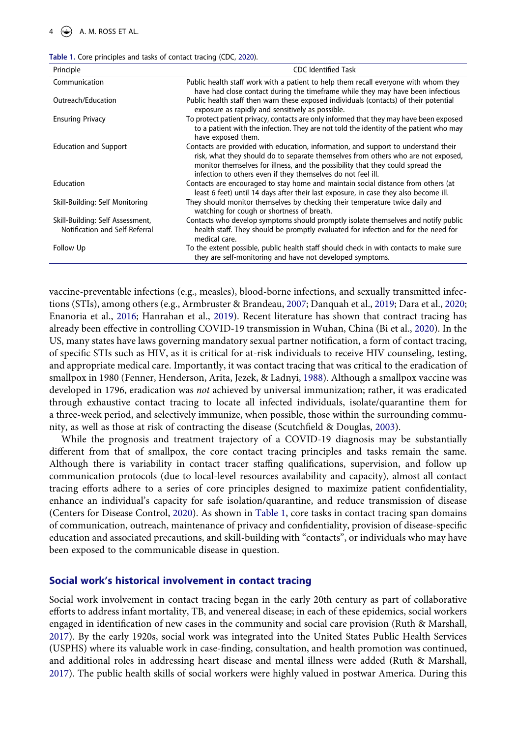<span id="page-4-0"></span>

|  |  | Table 1. Core principles and tasks of contact tracing (CDC, 2020). |  |  |  |  |  |  |  |  |
|--|--|--------------------------------------------------------------------|--|--|--|--|--|--|--|--|
|--|--|--------------------------------------------------------------------|--|--|--|--|--|--|--|--|

| Principle                                                          | <b>CDC</b> Identified Task                                                                                                                                                                                                                                                                                                |
|--------------------------------------------------------------------|---------------------------------------------------------------------------------------------------------------------------------------------------------------------------------------------------------------------------------------------------------------------------------------------------------------------------|
| Communication                                                      | Public health staff work with a patient to help them recall everyone with whom they<br>have had close contact during the timeframe while they may have been infectious                                                                                                                                                    |
| Outreach/Education                                                 | Public health staff then warn these exposed individuals (contacts) of their potential<br>exposure as rapidly and sensitively as possible.                                                                                                                                                                                 |
| <b>Ensuring Privacy</b>                                            | To protect patient privacy, contacts are only informed that they may have been exposed<br>to a patient with the infection. They are not told the identity of the patient who may<br>have exposed them.                                                                                                                    |
| <b>Education and Support</b>                                       | Contacts are provided with education, information, and support to understand their<br>risk, what they should do to separate themselves from others who are not exposed,<br>monitor themselves for illness, and the possibility that they could spread the<br>infection to others even if they themselves do not feel ill. |
| Education                                                          | Contacts are encouraged to stay home and maintain social distance from others (at<br>least 6 feet) until 14 days after their last exposure, in case they also become ill.                                                                                                                                                 |
| Skill-Building: Self Monitoring                                    | They should monitor themselves by checking their temperature twice daily and<br>watching for cough or shortness of breath.                                                                                                                                                                                                |
| Skill-Building: Self Assessment,<br>Notification and Self-Referral | Contacts who develop symptoms should promptly isolate themselves and notify public<br>health staff. They should be promptly evaluated for infection and for the need for<br>medical care.                                                                                                                                 |
| Follow Up                                                          | To the extent possible, public health staff should check in with contacts to make sure<br>they are self-monitoring and have not developed symptoms.                                                                                                                                                                       |

<span id="page-4-3"></span><span id="page-4-2"></span><span id="page-4-1"></span>vaccine-preventable infections (e.g., measles), blood-borne infections, and sexually transmitted infections (STIs), among others (e.g., Armbruster & Brandeau, [2007](#page-10-2); Danquah et al., [2019](#page-11-9); Dara et al., [2020;](#page-11-10) Enanoria et al., [2016](#page-11-11); Hanrahan et al., [2019\)](#page-11-12). Recent literature has shown that contract tracing has already been effective in controlling COVID-19 transmission in Wuhan, China (Bi et al., [2020](#page-10-3)). In the US, many states have laws governing mandatory sexual partner notification, a form of contact tracing, of specific STIs such as HIV, as it is critical for at-risk individuals to receive HIV counseling, testing, and appropriate medical care. Importantly, it was contact tracing that was critical to the eradication of smallpox in 1980 (Fenner, Henderson, Arita, Jezek, & Ladnyi, [1988](#page-11-13)). Although a smallpox vaccine was developed in 1796, eradication was *not* achieved by universal immunization; rather, it was eradicated through exhaustive contact tracing to locate all infected individuals, isolate/quarantine them for a three-week period, and selectively immunize, when possible, those within the surrounding community, as well as those at risk of contracting the disease (Scutchfield & Douglas, [2003\)](#page-12-16).

<span id="page-4-5"></span><span id="page-4-4"></span>While the prognosis and treatment trajectory of a COVID-19 diagnosis may be substantially different from that of smallpox, the core contact tracing principles and tasks remain the same. Although there is variability in contact tracer staffing qualifications, supervision, and follow up communication protocols (due to local-level resources availability and capacity), almost all contact tracing efforts adhere to a series of core principles designed to maximize patient confidentiality, enhance an individual's capacity for safe isolation/quarantine, and reduce transmission of disease (Centers for Disease Control, [2020](#page-11-6)). As shown in [Table 1](#page-4-0), core tasks in contact tracing span domains of communication, outreach, maintenance of privacy and confidentiality, provision of disease-specific education and associated precautions, and skill-building with "contacts", or individuals who may have been exposed to the communicable disease in question.

#### **Social work's historical involvement in contact tracing**

Social work involvement in contact tracing began in the early 20th century as part of collaborative efforts to address infant mortality, TB, and venereal disease; in each of these epidemics, social workers engaged in identification of new cases in the community and social care provision (Ruth & Marshall, [2017](#page-12-0)). By the early 1920s, social work was integrated into the United States Public Health Services (USPHS) where its valuable work in case-finding, consultation, and health promotion was continued, and additional roles in addressing heart disease and mental illness were added (Ruth & Marshall, [2017](#page-12-0)). The public health skills of social workers were highly valued in postwar America. During this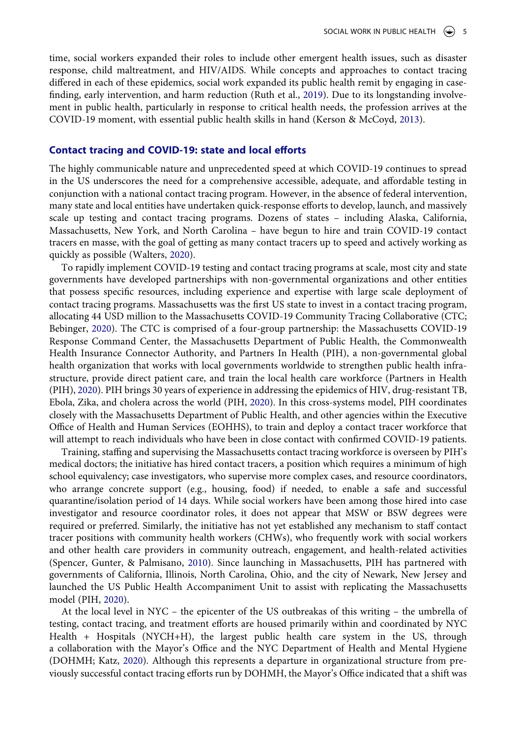time, social workers expanded their roles to include other emergent health issues, such as disaster response, child maltreatment, and HIV/AIDS. While concepts and approaches to contact tracing differed in each of these epidemics, social work expanded its public health remit by engaging in casefinding, early intervention, and harm reduction (Ruth et al., [2019](#page-12-1)). Due to its longstanding involvement in public health, particularly in response to critical health needs, the profession arrives at the COVID-19 moment, with essential public health skills in hand (Kerson & McCoyd, [2013](#page-11-14)).

#### <span id="page-5-2"></span>**Contact tracing and COVID-19: state and local efforts**

The highly communicable nature and unprecedented speed at which COVID-19 continues to spread in the US underscores the need for a comprehensive accessible, adequate, and affordable testing in conjunction with a national contact tracing program. However, in the absence of federal intervention, many state and local entities have undertaken quick-response efforts to develop, launch, and massively scale up testing and contact tracing programs. Dozens of states – including Alaska, California, Massachusetts, New York, and North Carolina – have begun to hire and train COVID-19 contact tracers en masse, with the goal of getting as many contact tracers up to speed and actively working as quickly as possible (Walters, [2020](#page-13-7)).

<span id="page-5-5"></span><span id="page-5-0"></span>To rapidly implement COVID-19 testing and contact tracing programs at scale, most city and state governments have developed partnerships with non-governmental organizations and other entities that possess specific resources, including experience and expertise with large scale deployment of contact tracing programs. Massachusetts was the first US state to invest in a contact tracing program, allocating 44 USD million to the Massachusetts COVID-19 Community Tracing Collaborative (CTC; Bebinger, [2020\)](#page-10-4). The CTC is comprised of a four-group partnership: the Massachusetts COVID-19 Response Command Center, the Massachusetts Department of Public Health, the Commonwealth Health Insurance Connector Authority, and Partners In Health (PIH), a non-governmental global health organization that works with local governments worldwide to strengthen public health infrastructure, provide direct patient care, and train the local health care workforce (Partners in Health (PIH), [2020](#page-12-17)). PIH brings 30 years of experience in addressing the epidemics of HIV, drug-resistant TB, Ebola, Zika, and cholera across the world (PIH, [2020](#page-12-17)). In this cross-systems model, PIH coordinates closely with the Massachusetts Department of Public Health, and other agencies within the Executive Office of Health and Human Services (EOHHS), to train and deploy a contact tracer workforce that will attempt to reach individuals who have been in close contact with confirmed COVID-19 patients.

Training, staffing and supervising the Massachusetts contact tracing workforce is overseen by PIH's medical doctors; the initiative has hired contact tracers, a position which requires a minimum of high school equivalency; case investigators, who supervise more complex cases, and resource coordinators, who arrange concrete support (e.g., housing, food) if needed, to enable a safe and successful quarantine/isolation period of 14 days. While social workers have been among those hired into case investigator and resource coordinator roles, it does not appear that MSW or BSW degrees were required or preferred. Similarly, the initiative has not yet established any mechanism to staff contact tracer positions with community health workers (CHWs), who frequently work with social workers and other health care providers in community outreach, engagement, and health-related activities (Spencer, Gunter, & Palmisano, [2010\)](#page-12-18). Since launching in Massachusetts, PIH has partnered with governments of California, Illinois, North Carolina, Ohio, and the city of Newark, New Jersey and launched the US Public Health Accompaniment Unit to assist with replicating the Massachusetts model (PIH, [2020\)](#page-12-17).

<span id="page-5-4"></span><span id="page-5-3"></span><span id="page-5-1"></span>At the local level in NYC – the epicenter of the US outbreakas of this writing – the umbrella of testing, contact tracing, and treatment efforts are housed primarily within and coordinated by NYC Health + Hospitals (NYCH+H), the largest public health care system in the US, through a collaboration with the Mayor's Office and the NYC Department of Health and Mental Hygiene (DOHMH; Katz, [2020](#page-11-15)). Although this represents a departure in organizational structure from previously successful contact tracing efforts run by DOHMH, the Mayor's Office indicated that a shift was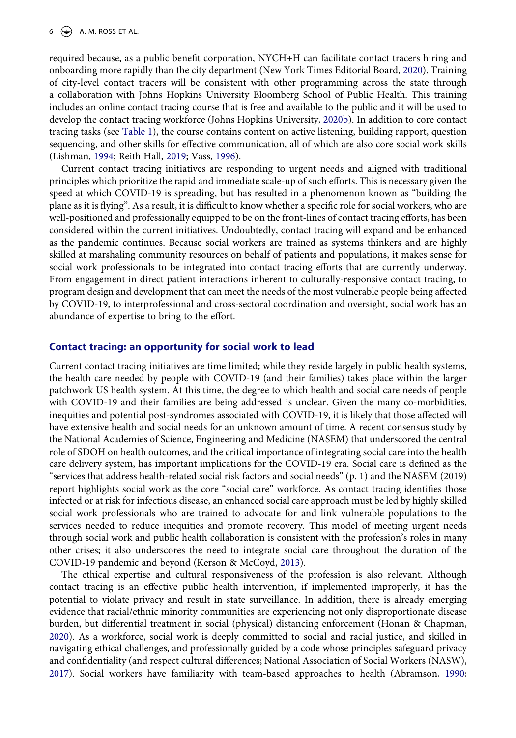6  $\leftrightarrow$  A. M. ROSS ET AL.

<span id="page-6-5"></span>required because, as a public benefit corporation, NYCH+H can facilitate contact tracers hiring and onboarding more rapidly than the city department (New York Times Editorial Board, [2020\)](#page-12-19). Training of city-level contact tracers will be consistent with other programming across the state through a collaboration with Johns Hopkins University Bloomberg School of Public Health. This training includes an online contact tracing course that is free and available to the public and it will be used to develop the contact tracing workforce (Johns Hopkins University, [2020b](#page-11-16)). In addition to core contact tracing tasks (see [Table 1](#page-4-0)), the course contains content on active listening, building rapport, question sequencing, and other skills for effective communication, all of which are also core social work skills (Lishman, [1994;](#page-11-17) Reith Hall, [2019;](#page-12-20) Vass, [1996\)](#page-13-8).

<span id="page-6-3"></span><span id="page-6-2"></span>Current contact tracing initiatives are responding to urgent needs and aligned with traditional principles which prioritize the rapid and immediate scale-up of such efforts. This is necessary given the speed at which COVID-19 is spreading, but has resulted in a phenomenon known as "building the plane as it is flying". As a result, it is difficult to know whether a specific role for social workers, who are well-positioned and professionally equipped to be on the front-lines of contact tracing efforts, has been considered within the current initiatives. Undoubtedly, contact tracing will expand and be enhanced as the pandemic continues. Because social workers are trained as systems thinkers and are highly skilled at marshaling community resources on behalf of patients and populations, it makes sense for social work professionals to be integrated into contact tracing efforts that are currently underway. From engagement in direct patient interactions inherent to culturally-responsive contact tracing, to program design and development that can meet the needs of the most vulnerable people being affected by COVID-19, to interprofessional and cross-sectoral coordination and oversight, social work has an abundance of expertise to bring to the effort.

#### **Contact tracing: an opportunity for social work to lead**

Current contact tracing initiatives are time limited; while they reside largely in public health systems, the health care needed by people with COVID-19 (and their families) takes place within the larger patchwork US health system. At this time, the degree to which health and social care needs of people with COVID-19 and their families are being addressed is unclear. Given the many co-morbidities, inequities and potential post-syndromes associated with COVID-19, it is likely that those affected will have extensive health and social needs for an unknown amount of time. A recent consensus study by the National Academies of Science, Engineering and Medicine (NASEM) that underscored the central role of SDOH on health outcomes, and the critical importance of integrating social care into the health care delivery system, has important implications for the COVID-19 era. Social care is defined as the "services that address health-related social risk factors and social needs" (p. 1) and the NASEM (2019) report highlights social work as the core "social care" workforce. As contact tracing identifies those infected or at risk for infectious disease, an enhanced social care approach must be led by highly skilled social work professionals who are trained to advocate for and link vulnerable populations to the services needed to reduce inequities and promote recovery. This model of meeting urgent needs through social work and public health collaboration is consistent with the profession's roles in many other crises; it also underscores the need to integrate social care throughout the duration of the COVID-19 pandemic and beyond (Kerson & McCoyd, [2013](#page-11-14)).

<span id="page-6-4"></span><span id="page-6-1"></span><span id="page-6-0"></span>The ethical expertise and cultural responsiveness of the profession is also relevant. Although contact tracing is an effective public health intervention, if implemented improperly, it has the potential to violate privacy and result in state surveillance. In addition, there is already emerging evidence that racial/ethnic minority communities are experiencing not only disproportionate disease burden, but differential treatment in social (physical) distancing enforcement (Honan & Chapman, [2020](#page-11-18)). As a workforce, social work is deeply committed to social and racial justice, and skilled in navigating ethical challenges, and professionally guided by a code whose principles safeguard privacy and confidentiality (and respect cultural differences; National Association of Social Workers (NASW), [2017](#page-12-21)). Social workers have familiarity with team-based approaches to health (Abramson, [1990;](#page-10-5)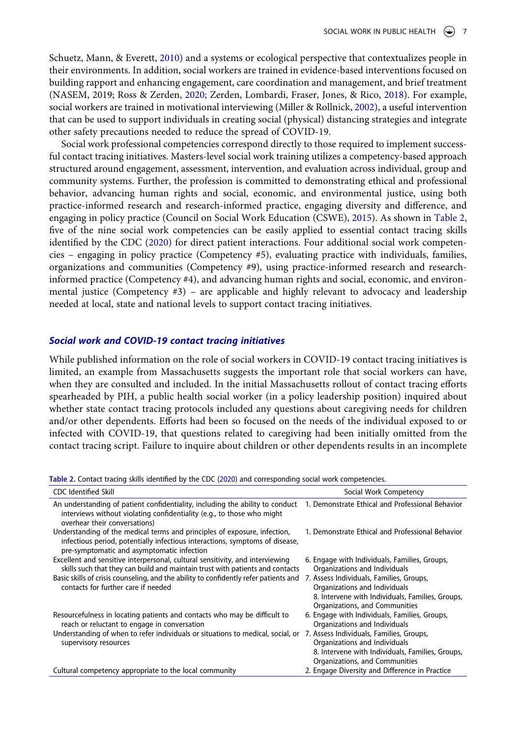<span id="page-7-4"></span><span id="page-7-3"></span>Schuetz, Mann, & Everett, [2010](#page-12-22)) and a systems or ecological perspective that contextualizes people in their environments. In addition, social workers are trained in evidence-based interventions focused on building rapport and enhancing engagement, care coordination and management, and brief treatment (NASEM, 2019; Ross & Zerden, [2020;](#page-12-23) Zerden, Lombardi, Fraser, Jones, & Rico, [2018](#page-13-9)). For example, social workers are trained in motivational interviewing (Miller & Rollnick, [2002\)](#page-12-24), a useful intervention that can be used to support individuals in creating social (physical) distancing strategies and integrate other safety precautions needed to reduce the spread of COVID-19.

<span id="page-7-2"></span><span id="page-7-1"></span>Social work professional competencies correspond directly to those required to implement successful contact tracing initiatives. Masters-level social work training utilizes a competency-based approach structured around engagement, assessment, intervention, and evaluation across individual, group and community systems. Further, the profession is committed to demonstrating ethical and professional behavior, advancing human rights and social, economic, and environmental justice, using both practice-informed research and research-informed practice, engaging diversity and difference, and engaging in policy practice (Council on Social Work Education (CSWE), [2015](#page-11-19)). As shown in [Table 2,](#page-7-0) five of the nine social work competencies can be easily applied to essential contact tracing skills identified by the CDC [\(2020](#page-11-6)) for direct patient interactions. Four additional social work competencies – engaging in policy practice (Competency #5), evaluating practice with individuals, families, organizations and communities (Competency #9), using practice-informed research and researchinformed practice (Competency #4), and advancing human rights and social, economic, and environmental justice (Competency  $#3$ ) – are applicable and highly relevant to advocacy and leadership needed at local, state and national levels to support contact tracing initiatives.

#### *Social work and COVID-19 contact tracing initiatives*

While published information on the role of social workers in COVID-19 contact tracing initiatives is limited, an example from Massachusetts suggests the important role that social workers can have, when they are consulted and included. In the initial Massachusetts rollout of contact tracing efforts spearheaded by PIH, a public health social worker (in a policy leadership position) inquired about whether state contact tracing protocols included any questions about caregiving needs for children and/or other dependents. Efforts had been so focused on the needs of the individual exposed to or infected with COVID-19, that questions related to caregiving had been initially omitted from the contact tracing script. Failure to inquire about children or other dependents results in an incomplete

<span id="page-7-0"></span>**Table 2.** Contact tracing skills identified by the CDC ([2020\)](#page-11-6) and corresponding social work competencies.

| <b>CDC</b> Identified Skill                                                                                                                                                                             | Social Work Competency                                                                                                                                          |
|---------------------------------------------------------------------------------------------------------------------------------------------------------------------------------------------------------|-----------------------------------------------------------------------------------------------------------------------------------------------------------------|
| An understanding of patient confidentiality, including the ability to conduct<br>interviews without violating confidentiality (e.g., to those who might<br>overhear their conversations)                | 1. Demonstrate Ethical and Professional Behavior                                                                                                                |
| Understanding of the medical terms and principles of exposure, infection,<br>infectious period, potentially infectious interactions, symptoms of disease,<br>pre-symptomatic and asymptomatic infection | 1. Demonstrate Ethical and Professional Behavior                                                                                                                |
| Excellent and sensitive interpersonal, cultural sensitivity, and interviewing<br>skills such that they can build and maintain trust with patients and contacts                                          | 6. Engage with Individuals, Families, Groups,<br>Organizations and Individuals                                                                                  |
| Basic skills of crisis counseling, and the ability to confidently refer patients and<br>contacts for further care if needed                                                                             | 7. Assess Individuals, Families, Groups,<br>Organizations and Individuals<br>8. Intervene with Individuals, Families, Groups,<br>Organizations, and Communities |
| Resourcefulness in locating patients and contacts who may be difficult to<br>reach or reluctant to engage in conversation                                                                               | 6. Engage with Individuals, Families, Groups,<br>Organizations and Individuals                                                                                  |
| Understanding of when to refer individuals or situations to medical, social, or<br>supervisory resources                                                                                                | 7. Assess Individuals, Families, Groups,<br>Organizations and Individuals<br>8. Intervene with Individuals, Families, Groups,<br>Organizations, and Communities |
| Cultural competency appropriate to the local community                                                                                                                                                  | 2. Engage Diversity and Difference in Practice                                                                                                                  |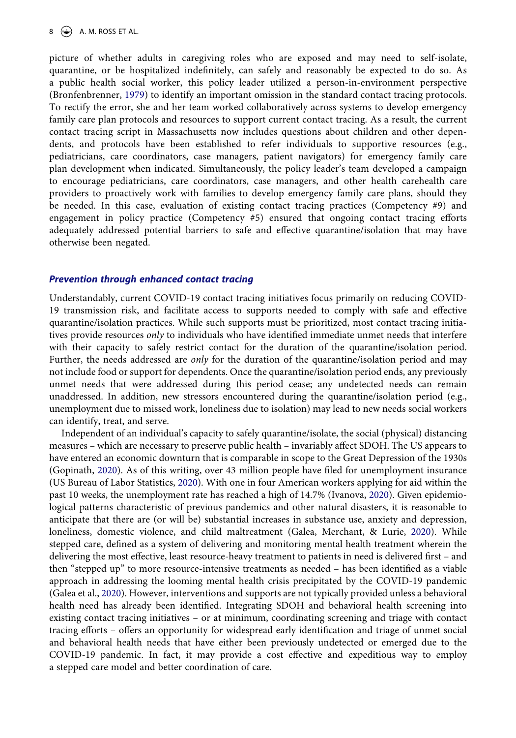<span id="page-8-0"></span>picture of whether adults in caregiving roles who are exposed and may need to self-isolate, quarantine, or be hospitalized indefinitely, can safely and reasonably be expected to do so. As a public health social worker, this policy leader utilized a person-in-environment perspective (Bronfenbrenner, [1979](#page-11-20)) to identify an important omission in the standard contact tracing protocols. To rectify the error, she and her team worked collaboratively across systems to develop emergency family care plan protocols and resources to support current contact tracing. As a result, the current contact tracing script in Massachusetts now includes questions about children and other dependents, and protocols have been established to refer individuals to supportive resources (e.g., pediatricians, care coordinators, case managers, patient navigators) for emergency family care plan development when indicated. Simultaneously, the policy leader's team developed a campaign to encourage pediatricians, care coordinators, case managers, and other health carehealth care providers to proactively work with families to develop emergency family care plans, should they be needed. In this case, evaluation of existing contact tracing practices (Competency #9) and engagement in policy practice (Competency #5) ensured that ongoing contact tracing efforts adequately addressed potential barriers to safe and effective quarantine/isolation that may have otherwise been negated.

#### *Prevention through enhanced contact tracing*

Understandably, current COVID-19 contact tracing initiatives focus primarily on reducing COVID-19 transmission risk, and facilitate access to supports needed to comply with safe and effective quarantine/isolation practices. While such supports must be prioritized, most contact tracing initiatives provide resources *only* to individuals who have identified immediate unmet needs that interfere with their capacity to safely restrict contact for the duration of the quarantine/isolation period. Further, the needs addressed are *only* for the duration of the quarantine/isolation period and may not include food or support for dependents. Once the quarantine/isolation period ends, any previously unmet needs that were addressed during this period cease; any undetected needs can remain unaddressed. In addition, new stressors encountered during the quarantine/isolation period (e.g., unemployment due to missed work, loneliness due to isolation) may lead to new needs social workers can identify, treat, and serve.

<span id="page-8-4"></span><span id="page-8-3"></span><span id="page-8-2"></span><span id="page-8-1"></span>Independent of an individual's capacity to safely quarantine/isolate, the social (physical) distancing measures – which are necessary to preserve public health – invariably affect SDOH. The US appears to have entered an economic downturn that is comparable in scope to the Great Depression of the 1930s (Gopinath, [2020](#page-11-21)). As of this writing, over 43 million people have filed for unemployment insurance (US Bureau of Labor Statistics, [2020\)](#page-13-10). With one in four American workers applying for aid within the past 10 weeks, the unemployment rate has reached a high of 14.7% (Ivanova, [2020\)](#page-11-22). Given epidemiological patterns characteristic of previous pandemics and other natural disasters, it is reasonable to anticipate that there are (or will be) substantial increases in substance use, anxiety and depression, loneliness, domestic violence, and child maltreatment (Galea, Merchant, & Lurie, [2020\)](#page-11-23). While stepped care, defined as a system of delivering and monitoring mental health treatment wherein the delivering the most effective, least resource-heavy treatment to patients in need is delivered first – and then "stepped up" to more resource-intensive treatments as needed – has been identified as a viable approach in addressing the looming mental health crisis precipitated by the COVID-19 pandemic (Galea et al., [2020](#page-11-23)). However, interventions and supports are not typically provided unless a behavioral health need has already been identified. Integrating SDOH and behavioral health screening into existing contact tracing initiatives – or at minimum, coordinating screening and triage with contact tracing efforts – offers an opportunity for widespread early identification and triage of unmet social and behavioral health needs that have either been previously undetected or emerged due to the COVID-19 pandemic. In fact, it may provide a cost effective and expeditious way to employ a stepped care model and better coordination of care.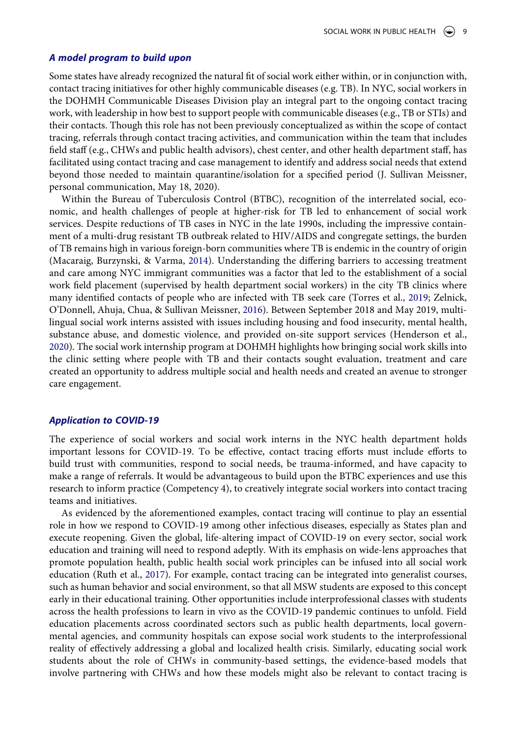#### *A model program to build upon*

Some states have already recognized the natural fit of social work either within, or in conjunction with, contact tracing initiatives for other highly communicable diseases (e.g. TB). In NYC, social workers in the DOHMH Communicable Diseases Division play an integral part to the ongoing contact tracing work, with leadership in how best to support people with communicable diseases (e.g., TB or STIs) and their contacts. Though this role has not been previously conceptualized as within the scope of contact tracing, referrals through contact tracing activities, and communication within the team that includes field staff (e.g., CHWs and public health advisors), chest center, and other health department staff, has facilitated using contact tracing and case management to identify and address social needs that extend beyond those needed to maintain quarantine/isolation for a specified period (J. Sullivan Meissner, personal communication, May 18, 2020).

<span id="page-9-4"></span><span id="page-9-3"></span><span id="page-9-1"></span>Within the Bureau of Tuberculosis Control (BTBC), recognition of the interrelated social, economic, and health challenges of people at higher-risk for TB led to enhancement of social work services. Despite reductions of TB cases in NYC in the late 1990s, including the impressive containment of a multi-drug resistant TB outbreak related to HIV/AIDS and congregate settings, the burden of TB remains high in various foreign-born communities where TB is endemic in the country of origin (Macaraig, Burzynski, & Varma, [2014](#page-12-25)). Understanding the differing barriers to accessing treatment and care among NYC immigrant communities was a factor that led to the establishment of a social work field placement (supervised by health department social workers) in the city TB clinics where many identified contacts of people who are infected with TB seek care (Torres et al., [2019](#page-13-11); Zelnick, O'Donnell, Ahuja, Chua, & Sullivan Meissner, [2016](#page-13-12)). Between September 2018 and May 2019, multilingual social work interns assisted with issues including housing and food insecurity, mental health, substance abuse, and domestic violence, and provided on-site support services (Henderson et al., [2020](#page-11-24)). The social work internship program at DOHMH highlights how bringing social work skills into the clinic setting where people with TB and their contacts sought evaluation, treatment and care created an opportunity to address multiple social and health needs and created an avenue to stronger care engagement.

#### <span id="page-9-0"></span>*Application to COVID-19*

The experience of social workers and social work interns in the NYC health department holds important lessons for COVID-19. To be effective, contact tracing efforts must include efforts to build trust with communities, respond to social needs, be trauma-informed, and have capacity to make a range of referrals. It would be advantageous to build upon the BTBC experiences and use this research to inform practice (Competency 4), to creatively integrate social workers into contact tracing teams and initiatives.

<span id="page-9-2"></span>As evidenced by the aforementioned examples, contact tracing will continue to play an essential role in how we respond to COVID-19 among other infectious diseases, especially as States plan and execute reopening. Given the global, life-altering impact of COVID-19 on every sector, social work education and training will need to respond adeptly. With its emphasis on wide-lens approaches that promote population health, public health social work principles can be infused into all social work education (Ruth et al., [2017](#page-12-26)). For example, contact tracing can be integrated into generalist courses, such as human behavior and social environment, so that all MSW students are exposed to this concept early in their educational training. Other opportunities include interprofessional classes with students across the health professions to learn in vivo as the COVID-19 pandemic continues to unfold. Field education placements across coordinated sectors such as public health departments, local governmental agencies, and community hospitals can expose social work students to the interprofessional reality of effectively addressing a global and localized health crisis. Similarly, educating social work students about the role of CHWs in community-based settings, the evidence-based models that involve partnering with CHWs and how these models might also be relevant to contact tracing is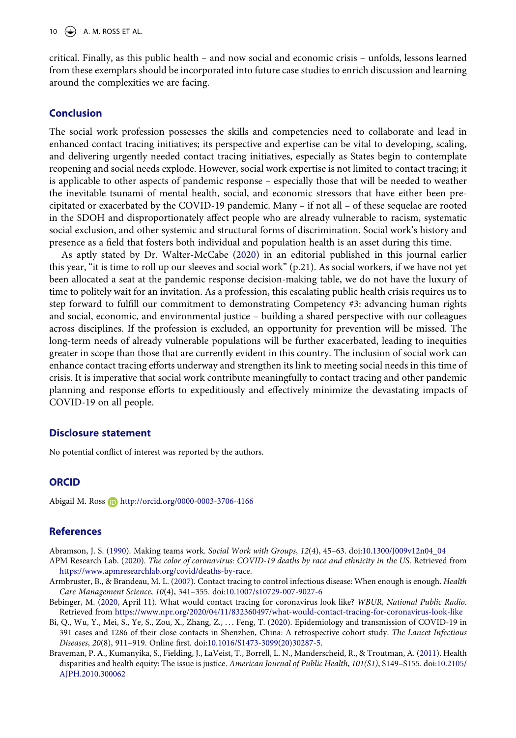critical. Finally, as this public health – and now social and economic crisis – unfolds, lessons learned from these exemplars should be incorporated into future case studies to enrich discussion and learning around the complexities we are facing.

## **Conclusion**

The social work profession possesses the skills and competencies need to collaborate and lead in enhanced contact tracing initiatives; its perspective and expertise can be vital to developing, scaling, and delivering urgently needed contact tracing initiatives, especially as States begin to contemplate reopening and social needs explode. However, social work expertise is not limited to contact tracing; it is applicable to other aspects of pandemic response – especially those that will be needed to weather the inevitable tsunami of mental health, social, and economic stressors that have either been precipitated or exacerbated by the COVID-19 pandemic. Many – if not all – of these sequelae are rooted in the SDOH and disproportionately affect people who are already vulnerable to racism, systematic social exclusion, and other systemic and structural forms of discrimination. Social work's history and presence as a field that fosters both individual and population health is an asset during this time.

As aptly stated by Dr. Walter-McCabe ([2020\)](#page-13-0) in an editorial published in this journal earlier this year, "it is time to roll up our sleeves and social work" (p.21). As social workers, if we have not yet been allocated a seat at the pandemic response decision-making table, we do not have the luxury of time to politely wait for an invitation. As a profession, this escalating public health crisis requires us to step forward to fulfill our commitment to demonstrating Competency #3: advancing human rights and social, economic, and environmental justice – building a shared perspective with our colleagues across disciplines. If the profession is excluded, an opportunity for prevention will be missed. The long-term needs of already vulnerable populations will be further exacerbated, leading to inequities greater in scope than those that are currently evident in this country. The inclusion of social work can enhance contact tracing efforts underway and strengthen its link to meeting social needs in this time of crisis. It is imperative that social work contribute meaningfully to contact tracing and other pandemic planning and response efforts to expeditiously and effectively minimize the devastating impacts of COVID-19 on all people.

#### **Disclosure statement**

No potential conflict of interest was reported by the authors.

#### **ORCID**

Abigail M. Ross D http://orcid.org/0000-0003-3706-4166

#### **References**

<span id="page-10-5"></span>Abramson, J. S. ([1990](#page-6-0)). Making teams work. *Social Work with Groups*, *12*(4), 45–63. doi:[10.1300/J009v12n04\\_04](https://doi.org/10.1300/J009v12n04_04)

<span id="page-10-1"></span>APM Research Lab. [\(2020\)](#page-2-0). *The color of coronavirus: COVID-19 deaths by race and ethnicity in the US*. Retrieved from <https://www.apmresearchlab.org/covid/deaths-by-race>.

- <span id="page-10-2"></span>Armbruster, B., & Brandeau, M. L. ([2007](#page-4-1)). Contact tracing to control infectious disease: When enough is enough. *Health Care Management Science*, *10*(4), 341–355. doi:[10.1007/s10729-007-9027-6](https://doi.org/10.1007/s10729-007-9027-6)
- <span id="page-10-4"></span>Bebinger, M. ([2020,](#page-5-0) April 11). What would contact tracing for coronavirus look like? *WBUR, National Public Radio*. Retrieved from <https://www.npr.org/2020/04/11/832360497/what-would-contact-tracing-for-coronavirus-look-like>
- <span id="page-10-3"></span>Bi, Q., Wu, Y., Mei, S., Ye, S., Zou, X., Zhang, Z., . . . Feng, T. [\(2020\)](#page-4-2). Epidemiology and transmission of COVID-19 in 391 cases and 1286 of their close contacts in Shenzhen, China: A retrospective cohort study. *The Lancet Infectious Diseases*, *20*(8), 911–919. Online first. doi:[10.1016/S1473-3099\(20\)30287-5](https://doi.org/10.1016/S1473-3099(20)30287-5).
- <span id="page-10-0"></span>Braveman, P. A., Kumanyika, S., Fielding, J., LaVeist, T., Borrell, L. N., Manderscheid, R., & Troutman, A. ([2011](#page-2-1)). Health disparities and health equity: The issue is justice. *American Journal of Public Health*, *101(S1)*, S149–S155. doi:[10.2105/](https://doi.org/10.2105/AJPH.2010.300062) [AJPH.2010.300062](https://doi.org/10.2105/AJPH.2010.300062)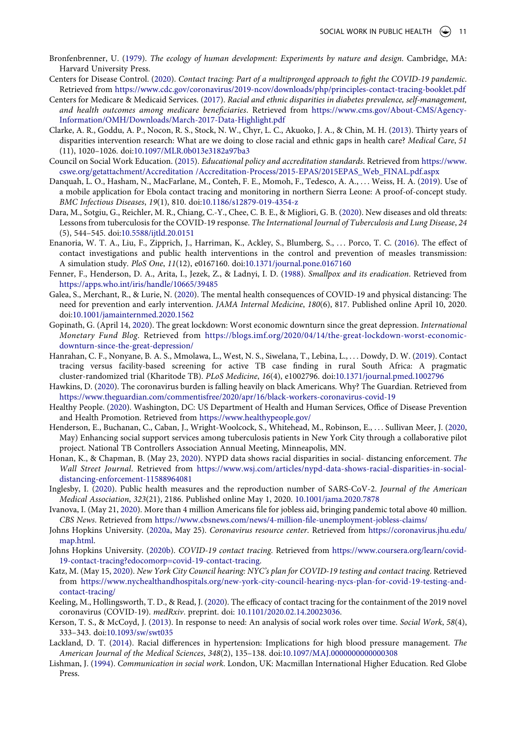- <span id="page-11-20"></span>Bronfenbrenner, U. [\(1979\)](#page-8-0). *The ecology of human development: Experiments by nature and design*. Cambridge, MA: Harvard University Press.
- <span id="page-11-6"></span>Centers for Disease Control. ([2020](#page-3-0)). *Contact tracing: Part of a multipronged approach to fight the COVID-19 pandemic*. Retrieved from <https://www.cdc.gov/coronavirus/2019-ncov/downloads/php/principles-contact-tracing-booklet.pdf>
- <span id="page-11-1"></span>Centers for Medicare & Medicaid Services. ([2017](#page-3-1)). *Racial and ethnic disparities in diabetes prevalence, self-management, and health outcomes among medicare beneficiaries*. Retrieved from [https://www.cms.gov/About-CMS/Agency-](https://www.cms.gov/About-CMS/Agency-Information/OMH/Downloads/March-2017-Data-Highlight.pdf)[Information/OMH/Downloads/March-2017-Data-Highlight.pdf](https://www.cms.gov/About-CMS/Agency-Information/OMH/Downloads/March-2017-Data-Highlight.pdf)
- <span id="page-11-4"></span>Clarke, A. R., Goddu, A. P., Nocon, R. S., Stock, N. W., Chyr, L. C., Akuoko, J. A., & Chin, M. H. ([2013\)](#page-3-2). Thirty years of disparities intervention research: What are we doing to close racial and ethnic gaps in health care? *Medical Care*, *51*  (11), 1020–1026. doi:[10.1097/MLR.0b013e3182a97ba3](https://doi.org/10.1097/MLR.0b013e3182a97ba3)
- <span id="page-11-19"></span>Council on Social Work Education. ([2015\)](#page-7-1). *Educational policy and accreditation standards*. Retrieved from [https://www.](https://www.cswe.org/getattachment/Accreditation /Accreditation-Process/2015-EPAS/2015EPAS_Web_FINAL.pdf.aspx) [cswe.org/getattachment/Accreditation /Accreditation-Process/2015-EPAS/2015EPAS\\_Web\\_FINAL.pdf.aspx](https://www.cswe.org/getattachment/Accreditation /Accreditation-Process/2015-EPAS/2015EPAS_Web_FINAL.pdf.aspx)
- <span id="page-11-9"></span>Danquah, L. O., Hasham, N., MacFarlane, M., Conteh, F. E., Momoh, F., Tedesco, A. A., ... Weiss, H. A. ([2019](#page-4-1)). Use of a mobile application for Ebola contact tracing and monitoring in northern Sierra Leone: A proof-of-concept study. *BMC Infectious Diseases*, *19*(1), 810. doi:[10.1186/s12879-019-4354-z](https://doi.org/10.1186/s12879-019-4354-z)
- <span id="page-11-10"></span>Dara, M., Sotgiu, G., Reichler, M. R., Chiang, C.-Y., Chee, C. B. E., & Migliori, G. B. ([2020](#page-4-1)). New diseases and old threats: Lessons from tuberculosis for the COVID-19 response. *The International Journal of Tuberculosis and Lung Disease*, *24*  (5), 544–545. doi:[10.5588/ijtld.20.0151](https://doi.org/10.5588/ijtld.20.0151)
- <span id="page-11-11"></span>Enanoria, W. T. A., Liu, F., Zipprich, J., Harriman, K., Ackley, S., Blumberg, S., . . . Porco, T. C. [\(2016\)](#page-4-3). The effect of contact investigations and public health interventions in the control and prevention of measles transmission: A simulation study. *PloS One*, *11*(12), e0167160. doi:[10.1371/journal.pone.0167160](https://doi.org/10.1371/journal.pone.0167160)
- <span id="page-11-13"></span>Fenner, F., Henderson, D. A., Arita, I., Jezek, Z., & Ladnyi, I. D. [\(1988\)](#page-4-4). *Smallpox and its eradication*. Retrieved from <https://apps.who.int/iris/handle/10665/39485>
- <span id="page-11-23"></span>Galea, S., Merchant, R., & Lurie, N. [\(2020](#page-8-1)). The mental health consequences of COVID-19 and physical distancing: The need for prevention and early intervention. *JAMA Internal Medicine*, *180*(6), 817. Published online April 10, 2020. doi:[10.1001/jamainternmed.2020.1562](https://doi.org/10.1001/jamainternmed.2020.1562)
- <span id="page-11-21"></span>Gopinath, G. (April 14, [2020\)](#page-8-2). The great lockdown: Worst economic downturn since the great depression. *International Monetary Fund Blog*. Retrieved from [https://blogs.imf.org/2020/04/14/the-great-lockdown-worst-economic](https://blogs.imf.org/2020/04/14/the-great-lockdown-worst-economic-downturn-since-the-great-depression/)[downturn-since-the-great-depression/](https://blogs.imf.org/2020/04/14/the-great-lockdown-worst-economic-downturn-since-the-great-depression/)
- <span id="page-11-12"></span>Hanrahan, C. F., Nonyane, B. A. S., Mmolawa, L., West, N. S., Siwelana, T., Lebina, L., . . . Dowdy, D. W. ([2019](#page-4-3)). Contact tracing versus facility-based screening for active TB case finding in rural South Africa: A pragmatic cluster-randomized trial (Kharitode TB). *PLoS Medicine*, *16*(4), e1002796. doi:[10.1371/journal.pmed.1002796](https://doi.org/10.1371/journal.pmed.1002796)
- <span id="page-11-5"></span>Hawkins, D. [\(2020](#page-3-3)). The coronavirus burden is falling heavily on black Americans. Why? The Guardian. Retrieved from <https://www.theguardian.com/commentisfree/2020/apr/16/black-workers-coronavirus-covid-19>
- <span id="page-11-3"></span>Healthy People. [\(2020\)](#page-3-4). Washington, DC: US Department of Health and Human Services, Office of Disease Prevention and Health Promotion. Retrieved from <https://www.healthypeople.gov/>
- <span id="page-11-24"></span>Henderson, E., Buchanan, C., Caban, J., Wright-Woolcock, S., Whitehead, M., Robinson, E., . . . Sullivan Meer, J. ([2020](#page-9-0), May) Enhancing social support services among tuberculosis patients in New York City through a collaborative pilot project. National TB Controllers Association Annual Meeting, Minneapolis, MN.
- <span id="page-11-18"></span>Honan, K., & Chapman, B. (May 23, [2020](#page-6-1)). NYPD data shows racial disparities in social- distancing enforcement. *The Wall Street Journal*. Retrieved from [https://www.wsj.com/articles/nypd-data-shows-racial-disparities-in-social](https://www.wsj.com/articles/nypd-data-shows-racial-disparities-in-social-distancing-enforcement-11588964081)[distancing-enforcement-11588964081](https://www.wsj.com/articles/nypd-data-shows-racial-disparities-in-social-distancing-enforcement-11588964081)
- <span id="page-11-8"></span>Inglesby, I. ([2020](#page-3-5)). Public health measures and the reproduction number of SARS-CoV-2. *Journal of the American Medical Association*, *323*(21), 2186. Published online May 1, 2020. [10.1001/jama.2020.7878](https://doi.org/10.1001/jama.2020.7878)
- <span id="page-11-22"></span>Ivanova, I. (May 21, [2020](#page-8-3)). More than 4 million Americans file for jobless aid, bringing pandemic total above 40 million. *CBS News*. Retrieved from <https://www.cbsnews.com/news/4-million-file-unemployment-jobless-claims/>
- <span id="page-11-0"></span>Johns Hopkins University. [\(2020a](#page-2-2), May 25). *Coronavirus resource center*. Retrieved from [https://coronavirus.jhu.edu/](https://coronavirus.jhu.edu/map.html) [map.html](https://coronavirus.jhu.edu/map.html).
- <span id="page-11-16"></span>Johns Hopkins University. ([2020b\)](#page-6-2). *COVID-19 contact tracing*. Retrieved from [https://www.coursera.org/learn/covid-](https://www.coursera.org/learn/covid-19-contact-tracing?edocomorp=covid-19-contact-tracing)[19-contact-tracing?edocomorp=covid-19-contact-tracing.](https://www.coursera.org/learn/covid-19-contact-tracing?edocomorp=covid-19-contact-tracing)
- <span id="page-11-15"></span>Katz, M. (May 15, [2020\)](#page-5-1). *New York City Council hearing: NYC's plan for COVID-19 testing and contact tracing*. Retrieved from [https://www.nychealthandhospitals.org/new-york-city-council-hearing-nycs-plan-for-covid-19-testing-and](https://www.nychealthandhospitals.org/new-york-city-council-hearing-nycs-plan-for-covid-19-testing-and-contact-tracing/)[contact-tracing/](https://www.nychealthandhospitals.org/new-york-city-council-hearing-nycs-plan-for-covid-19-testing-and-contact-tracing/)
- <span id="page-11-7"></span>Keeling, M., Hollingsworth, T. D., & Read, J. ([2020](#page-3-6)). The efficacy of contact tracing for the containment of the 2019 novel coronavirus (COVID-19). *medRxiv*. preprint. doi: [10.1101/2020.02.14.20023036](https://doi.org/10.1101/2020.02.14.20023036).
- <span id="page-11-14"></span>Kerson, T. S., & McCoyd, J. [\(2013](#page-5-2)). In response to need: An analysis of social work roles over time. *Social Work*, *58*(4), 333–343. doi:[10.1093/sw/swt035](https://doi.org/10.1093/sw/swt035)
- <span id="page-11-2"></span>Lackland, D. T. ([2014\)](#page-3-7). Racial differences in hypertension: Implications for high blood pressure management. *The American Journal of the Medical Sciences*, *348*(2), 135–138. doi:[10.1097/MAJ.0000000000000308](https://doi.org/10.1097/MAJ.0000000000000308)
- <span id="page-11-17"></span>Lishman, J. ([1994\)](#page-6-3). *Communication in social work*. London, UK: Macmillan International Higher Education. Red Globe Press.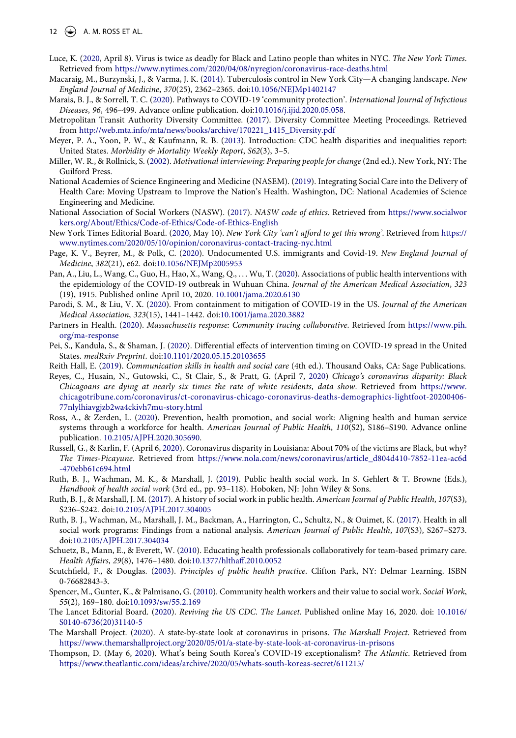#### 12  $\left(\bigoplus_{n=1}^{\infty} A_n M_n \right)$  ROSS ET AL.

- <span id="page-12-12"></span>Luce, K. [\(2020](#page-2-3), April 8). Virus is twice as deadly for Black and Latino people than whites in NYC. *The New York Times*. Retrieved from <https://www.nytimes.com/2020/04/08/nyregion/coronavirus-race-deaths.html>
- <span id="page-12-25"></span>Macaraig, M., Burzynski, J., & Varma, J. K. ([2014\)](#page-9-1). Tuberculosis control in New York City—A changing landscape. *New England Journal of Medicine*, *370*(25), 2362–2365. doi:[10.1056/NEJMp1402147](https://doi.org/10.1056/NEJMp1402147)
- <span id="page-12-4"></span>Marais, B. J., & Sorrell, T. C. [\(2020\)](#page-2-4). Pathways to COVID-19 'community protection'. *International Journal of Infectious Diseases*, *96*, 496–499. Advance online publication. doi:[10.1016/j.ijid.2020.05.058.](https://doi.org/10.1016/j.ijid.2020.05.058)
- <span id="page-12-13"></span>Metropolitan Transit Authority Diversity Committee. ([2017\)](#page-3-8). Diversity Committee Meeting Proceedings. Retrieved from [http://web.mta.info/mta/news/books/archive/170221\\_1415\\_Diversity.pdf](http://web.mta.info/mta/news/books/archive/170221_1415_Diversity.pdf)
- <span id="page-12-9"></span>Meyer, P. A., Yoon, P. W., & Kaufmann, R. B. ([2013](#page-2-1)). Introduction: CDC health disparities and inequalities report: United States. *Morbidity & Mortality Weekly Report*, *S62*(3), 3–5.
- <span id="page-12-24"></span>Miller, W. R., & Rollnick, S. [\(2002\)](#page-7-2). *Motivational interviewing: Preparing people for change* (2nd ed.). New York, NY: The Guilford Press.
- <span id="page-12-2"></span>National Academies of Science Engineering and Medicine (NASEM). ([2019\)](#page-1-3). Integrating Social Care into the Delivery of Health Care: Moving Upstream to Improve the Nation's Health. Washington, DC: National Academies of Science Engineering and Medicine.
- <span id="page-12-21"></span>National Association of Social Workers (NASW). [\(2017](#page-6-4)). *NASW code of ethics*. Retrieved from [https://www.socialwor](https://www.socialworkers.org/About/Ethics/Code-of-Ethics/Code-of-Ethics-English) [kers.org/About/Ethics/Code-of-Ethics/Code-of-Ethics-English](https://www.socialworkers.org/About/Ethics/Code-of-Ethics/Code-of-Ethics-English)
- <span id="page-12-19"></span>New York Times Editorial Board. [\(2020,](#page-6-5) May 10). *New York City 'can't afford to get this wrong'*. Retrieved from [https://](https://www.nytimes.com/2020/05/10/opinion/coronavirus-contact-tracing-nyc.html) [www.nytimes.com/2020/05/10/opinion/coronavirus-contact-tracing-nyc.html](https://www.nytimes.com/2020/05/10/opinion/coronavirus-contact-tracing-nyc.html)
- <span id="page-12-14"></span>Page, K. V., Beyrer, M., & Polk, C. [\(2020](#page-3-9)). Undocumented U.S. immigrants and Covid-19. *New England Journal of Medicine*, *382*(21), e62. doi:[10.1056/NEJMp2005953](https://doi.org/10.1056/NEJMp2005953)
- <span id="page-12-7"></span>Pan, A., Liu, L., Wang, C., Guo, H., Hao, X., Wang, Q., . . . Wu, T. ([2020\)](#page-2-5). Associations of public health interventions with the epidemiology of the COVID-19 outbreak in Wuhuan China. *Journal of the American Medical Association*, *323*  (19), 1915. Published online April 10, 2020. [10.1001/jama.2020.6130](https://doi.org/10.1001/jama.2020.6130)
- <span id="page-12-6"></span>Parodi, S. M., & Liu, V. X. ([2020](#page-2-6)). From containment to mitigation of COVID-19 in the US. *Journal of the American Medical Association*, *323*(15), 1441–1442. doi:[10.1001/jama.2020.3882](https://doi.org/10.1001/jama.2020.3882)
- <span id="page-12-17"></span>Partners in Health. ([2020\)](#page-5-3). *Massachusetts response: Community tracing collaborative*. Retrieved from [https://www.pih.](https://www.pih.org/ma-response) [org/ma-response](https://www.pih.org/ma-response)
- <span id="page-12-5"></span>Pei, S., Kandula, S., & Shaman, J. [\(2020\)](#page-2-7). Differential effects of intervention timing on COVID-19 spread in the United States. *medRxiv Preprint*. doi:[10.1101/2020.05.15.20103655](https://doi.org/10.1101/2020.05.15.20103655)
- <span id="page-12-20"></span>Reith Hall, E. ([2019\)](#page-6-3). *Communication skills in health and social care* (4th ed.). Thousand Oaks, CA: Sage Publications.
- <span id="page-12-10"></span>Reyes, C., Husain, N., Gutowski, C., St Clair, S., & Pratt, G. (April 7, [2020\)](#page-2-8) *Chicago's coronavirus disparity: Black Chicagoans are dying at nearly six times the rate of white residents, data show*. Retrieved from [https://www.](https://www.chicagotribune.com/coronavirus/ct-coronavirus-chicago-coronavirus-deaths-demographics-lightfoot-20200406-77nlylhiavgjzb2wa4ckivh7mu-story.html) [chicagotribune.com/coronavirus/ct-coronavirus-chicago-coronavirus-deaths-demographics-lightfoot-20200406-](https://www.chicagotribune.com/coronavirus/ct-coronavirus-chicago-coronavirus-deaths-demographics-lightfoot-20200406-77nlylhiavgjzb2wa4ckivh7mu-story.html) [77nlylhiavgjzb2wa4ckivh7mu-story.html](https://www.chicagotribune.com/coronavirus/ct-coronavirus-chicago-coronavirus-deaths-demographics-lightfoot-20200406-77nlylhiavgjzb2wa4ckivh7mu-story.html)
- <span id="page-12-23"></span>Ross, A., & Zerden, L. ([2020\)](#page-7-3). Prevention, health promotion, and social work: Aligning health and human service systems through a workforce for health. *American Journal of Public Health*, *110*(S2), S186–S190. Advance online publication. [10.2105/AJPH.2020.305690](https://doi.org/10.2105/AJPH.2020.305690).
- <span id="page-12-11"></span>Russell, G., & Karlin, F. (April 6, [2020](#page-2-9)). Coronavirus disparity in Louisiana: About 70% of the victims are Black, but why? *The Times-Picayune*. Retrieved from [https://www.nola.com/news/coronavirus/article\\_d804d410-7852-11ea-ac6d](https://www.nola.com/news/coronavirus/article_d804d410-7852-11ea-ac6d-470ebb61c694.html) [-470ebb61c694.html](https://www.nola.com/news/coronavirus/article_d804d410-7852-11ea-ac6d-470ebb61c694.html)
- <span id="page-12-1"></span>Ruth, B. J., Wachman, M. K., & Marshall, J. ([2019](#page-1-4)). Public health social work. In S. Gehlert & T. Browne (Eds.), *Handbook of health social work* (3rd ed., pp. 93–118). Hoboken, NJ: John Wiley & Sons.
- <span id="page-12-0"></span>Ruth, B. J., & Marshall, J. M. ([2017\)](#page-1-5). A history of social work in public health. *American Journal of Public Health*, *107*(S3), S236–S242. doi:[10.2105/AJPH.2017.304005](https://doi.org/10.2105/AJPH.2017.304005)
- <span id="page-12-26"></span>Ruth, B. J., Wachman, M., Marshall, J. M., Backman, A., Harrington, C., Schultz, N., & Ouimet, K. [\(2017\)](#page-9-2). Health in all social work programs: Findings from a national analysis. *American Journal of Public Health*, *107*(S3), S267–S273. doi:[10.2105/AJPH.2017.304034](https://doi.org/10.2105/AJPH.2017.304034)
- <span id="page-12-22"></span>Schuetz, B., Mann, E., & Everett, W. ([2010](#page-7-4)). Educating health professionals collaboratively for team-based primary care. *Health Affairs*, *29*(8), 1476–1480. doi:[10.1377/hlthaff.2010.0052](https://doi.org/10.1377/hlthaff.2010.0052)
- <span id="page-12-16"></span>Scutchfield, F., & Douglas. ([2003](#page-4-5)). *Principles of public health practice*. Clifton Park, NY: Delmar Learning. ISBN 0-76682843-3.
- <span id="page-12-18"></span>Spencer, M., Gunter, K., & Palmisano, G. ([2010\)](#page-5-4). Community health workers and their value to social work. *Social Work*, *55*(2), 169–180. doi:[10.1093/sw/55.2.169](https://doi.org/10.1093/sw/55.2.169)
- <span id="page-12-8"></span>The Lancet Editorial Board. [\(2020](#page-2-10)). *Reviving the US CDC*. *The Lancet*. Published online May 16, 2020. doi: [10.1016/](https://doi.org/10.1016/S0140-6736(20)31140-5) [S0140-6736\(20\)31140-5](https://doi.org/10.1016/S0140-6736(20)31140-5)
- <span id="page-12-15"></span>The Marshall Project. [\(2020\)](#page-3-9). A state-by-state look at coronavirus in prisons. *The Marshall Project*. Retrieved from <https://www.themarshallproject.org/2020/05/01/a-state-by-state-look-at-coronavirus-in-prisons>
- <span id="page-12-3"></span>Thompson, D. (May 6, [2020](#page-2-11)). What's being South Korea's COVID-19 exceptionalism? *The Atlantic*. Retrieved from <https://www.theatlantic.com/ideas/archive/2020/05/whats-south-koreas-secret/611215/>